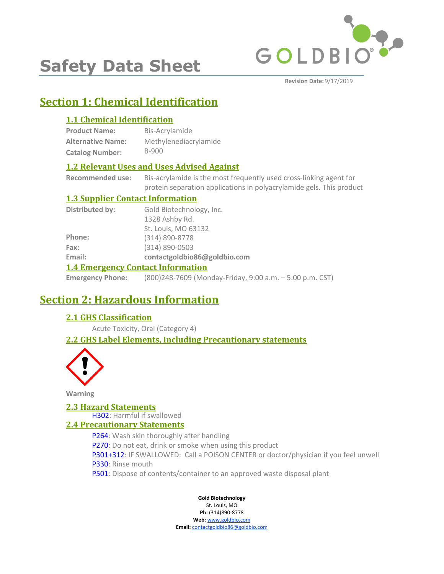

# **Safety Data Sheet**

**Revision Date:** 9/17/2019

# **Section 1: Chemical Identification**

### **1.1 Chemical Identification**

| <b>Product Name:</b>     | Bis-Acrylamide        |
|--------------------------|-----------------------|
| <b>Alternative Name:</b> | Methylenediacrylamide |
| <b>Catalog Number:</b>   | B-900                 |

### **1.2 Relevant Uses and Uses Advised Against**

**Recommended use:** Bis-acrylamide is the most frequently used cross-linking agent for protein separation applications in polyacrylamide gels. This product

### **1.3 Supplier Contact Information**

| Distributed by:                          | Gold Biotechnology, Inc.     |
|------------------------------------------|------------------------------|
|                                          | 1328 Ashby Rd.               |
|                                          | St. Louis, MO 63132          |
| Phone:                                   | (314) 890-8778               |
| Fax:                                     | $(314) 890 - 0503$           |
| Email:                                   | contactgoldbio86@goldbio.com |
| <b>1.4 Emergency Contact Information</b> |                              |

**Emergency Phone:** (800)248-7609 (Monday-Friday, 9:00 a.m. – 5:00 p.m. CST)

# **Section 2: Hazardous Information**

### **2.1 GHS Classification**

Acute Toxicity, Oral (Category 4)

### **2.2 GHS Label Elements, Including Precautionary statements**



**Warning**

### **2.3 Hazard Statements**

H302: Harmful if swallowed

### **2.4 Precautionary Statements**

P264: Wash skin thoroughly after handling P270: Do not eat, drink or smoke when using this product P301+312: IF SWALLOWED: Call a POISON CENTER or doctor/physician if you feel unwell P330: Rinse mouth P501: Dispose of contents/container to an approved waste disposal plant

### **Gold Biotechnology**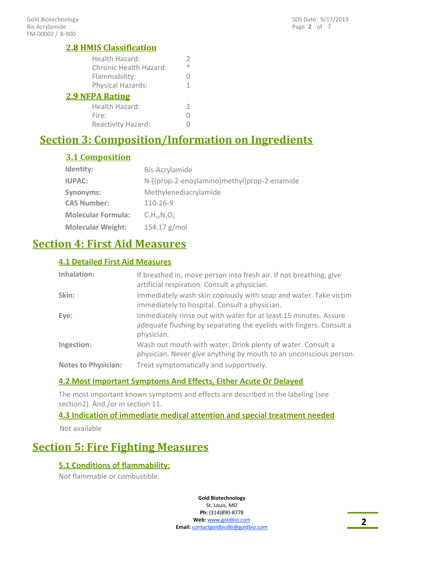### **2.8 HMIS Classification**

| <b>2.8 HMIS Classification</b> |     |
|--------------------------------|-----|
| Health Hazard:                 |     |
| <b>Chronic Health Hazard:</b>  | $*$ |
| Flammability:                  |     |
| Physical Hazards:              |     |
| <b>2.9 NFPA Rating</b>         |     |
|                                |     |

| Health Hazard:     |   |
|--------------------|---|
| Fire:              | 0 |
| Reactivity Hazard: | 0 |

# **Section 3: Composition/Information on Ingredients**

### **3.1 Composition**

| Identity:                 | Bis-Acrylamide                              |
|---------------------------|---------------------------------------------|
| <b>IUPAC:</b>             | N-[(prop-2-enoylamino)methyl]prop-2-enamide |
| Synonyms:                 | Methylenediacrylamide                       |
| <b>CAS Number:</b>        | 110-26-9                                    |
| <b>Molecular Formula:</b> | $C_7H_{10}N_2O_2$                           |
| <b>Molecular Weight:</b>  | $154.17$ g/mol                              |

# **Section 4: First Aid Measures**

### **4.1 Detailed First Aid Measures**

| Inhalation:                | If breathed in, move person into fresh air. If not breathing, give<br>artificial respiration. Consult a physician.                                    |
|----------------------------|-------------------------------------------------------------------------------------------------------------------------------------------------------|
| Skin:                      | Immediately wash skin copiously with soap and water. Take victim<br>immediately to hospital. Consult a physician.                                     |
| Eye:                       | Immediately rinse out with water for at least 15 minutes. Assure<br>adequate flushing by separating the eyelids with fingers. Consult a<br>physician. |
| Ingestion:                 | Wash out mouth with water. Drink plenty of water. Consult a<br>physician. Never give anything by mouth to an unconscious person.                      |
| <b>Notes to Physician:</b> | Treat symptomatically and supportively.                                                                                                               |

### **4.2 Most Important Symptoms And Effects, Either Acute Or Delayed**

The most important known symptoms and effects are described in the labeling (see section2). And /or in section 11.

### **4.3 Indication of immediate medical attention and special treatment needed**

Not available

# **Section 5: Fire Fighting Measures**

### **5.1 Conditions of flammability:**

Not flammable or combustible.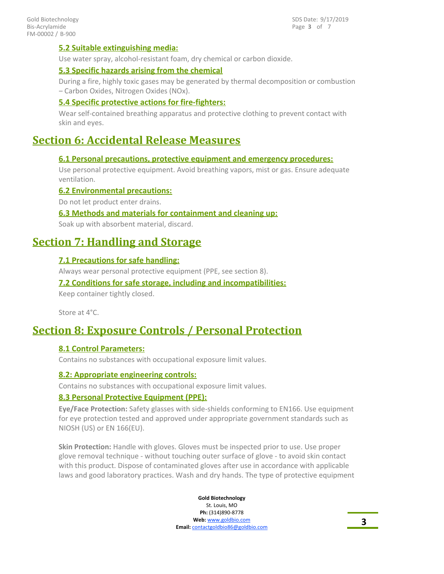Page **3** of 7 SDS Date: 9/17/2019

### **5.2 Suitable extinguishing media:**

Use water spray, alcohol-resistant foam, dry chemical or carbon dioxide.

### **5.3 Specific hazards arising from the chemical**

During a fire, highly toxic gases may be generated by thermal decomposition or combustion – Carbon Oxides, Nitrogen Oxides (NOx).

### **5.4 Specific protective actions for fire-fighters:**

Wear self-contained breathing apparatus and protective clothing to prevent contact with skin and eyes.

## **Section 6: Accidental Release Measures**

### **6.1 Personal precautions, protective equipment and emergency procedures:**

Use personal protective equipment. Avoid breathing vapors, mist or gas. Ensure adequate ventilation.

### **6.2 Environmental precautions:**

Do not let product enter drains.

### **6.3 Methods and materials for containment and cleaning up:**

Soak up with absorbent material, discard.

### **Section 7: Handling and Storage**

### **7.1 Precautions for safe handling:**

Always wear personal protective equipment (PPE, see section 8).

### **7.2 Conditions for safe storage, including and incompatibilities:**

Keep container tightly closed.

Store at 4°C.

### **Section 8: Exposure Controls / Personal Protection**

### **8.1 Control Parameters:**

Contains no substances with occupational exposure limit values.

### **8.2: Appropriate engineering controls:**

Contains no substances with occupational exposure limit values.

### **8.3 Personal Protective Equipment (PPE):**

**Eye/Face Protection:** Safety glasses with side-shields conforming to EN166. Use equipment for eye protection tested and approved under appropriate government standards such as NIOSH (US) or EN 166(EU).

**Skin Protection:** Handle with gloves. Gloves must be inspected prior to use. Use proper glove removal technique - without touching outer surface of glove - to avoid skin contact with this product. Dispose of contaminated gloves after use in accordance with applicable laws and good laboratory practices. Wash and dry hands. The type of protective equipment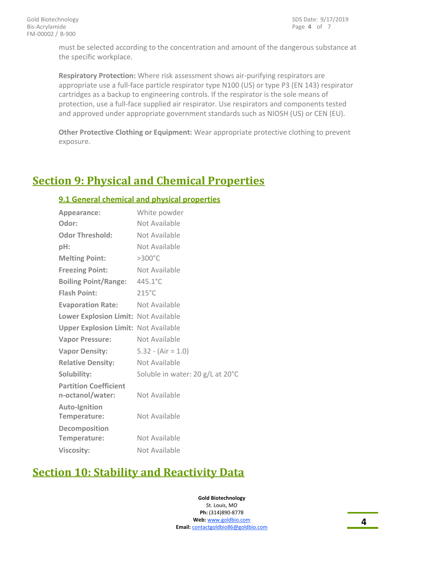must be selected according to the concentration and amount of the dangerous substance at the specific workplace.

**Respiratory Protection:** Where risk assessment shows air-purifying respirators are appropriate use a full-face particle respirator type N100 (US) or type P3 (EN 143) respirator cartridges as a backup to engineering controls. If the respirator is the sole means of protection, use a full-face supplied air respirator. Use respirators and components tested and approved under appropriate government standards such as NIOSH (US) or CEN (EU).

**Other Protective Clothing or Equipment:** Wear appropriate protective clothing to prevent exposure.

# **Section 9: Physical and Chemical Properties**

### **9.1 General chemical and physical properties**

| Appearance:                                 | White powder                     |
|---------------------------------------------|----------------------------------|
| Odor:                                       | Not Available                    |
| <b>Odor Threshold:</b>                      | Not Available                    |
| pH:                                         | Not Available                    |
| <b>Melting Point:</b>                       | $>300^{\circ}$ C                 |
| <b>Freezing Point:</b>                      | Not Available                    |
| <b>Boiling Point/Range:</b>                 | $445.1^{\circ}$ C                |
| <b>Flash Point:</b>                         | $215^{\circ}$ C                  |
| <b>Evaporation Rate:</b>                    | Not Available                    |
| Lower Explosion Limit: Not Available        |                                  |
| <b>Upper Explosion Limit: Not Available</b> |                                  |
| <b>Vapor Pressure:</b>                      | Not Available                    |
| <b>Vapor Density:</b>                       | $5.32 - (Air = 1.0)$             |
| <b>Relative Density:</b>                    | Not Available                    |
| Solubility:                                 | Soluble in water: 20 g/L at 20°C |
| <b>Partition Coefficient</b>                |                                  |
| n-octanol/water:                            | Not Available                    |
| <b>Auto-Ignition</b>                        |                                  |
| Temperature:                                | Not Available                    |
| Decomposition                               |                                  |
| Temperature:                                | Not Available                    |
| <b>Viscosity:</b>                           | Not Available                    |

# **Section 10: Stability and Reactivity Data**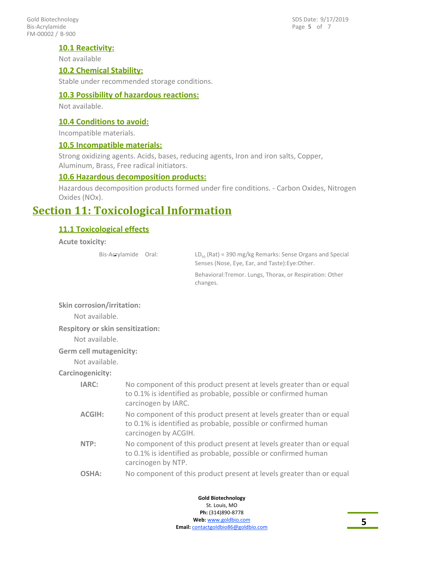FM-00002 / B-900 Gold Biotechnology Bis-Acrylamide

Page **5** of 7 SDS Date: 9/17/2019

### **10.1 Reactivity:**

Not available

### **10.2 Chemical Stability:**

Stable under recommended storage conditions.

### **10.3 Possibility of hazardous reactions:**

Not available.

### **10.4 Conditions to avoid:**

Incompatible materials.

### **10.5 Incompatible materials:**

Strong oxidizing agents. Acids, bases, reducing agents, Iron and iron salts, Copper, Aluminum, Brass, Free radical initiators.

### **10.6 Hazardous decomposition products:**

Hazardous decomposition products formed under fire conditions. - Carbon Oxides, Nitrogen Oxides (NOx).

### **Section 11: Toxicological Information**

### **11.1 Toxicological effects**

**Acute toxicity:**

Bis-Acrylamide Oral:

 $LD_{50}$  (Rat) = 390 mg/kg Remarks: Sense Organs and Special Senses (Nose, Eye, Ear, and Taste):Eye:Other.

Behavioral:Tremor. Lungs, Thorax, or Respiration: Other changes.

**Skin corrosion/irritation:**

Not available.

**Respitory or skin sensitization:**

Not available.

#### **Germ cell mutagenicity:**

Not available.

**Carcinogenicity:**

| <b>IARC:</b>  | No component of this product present at levels greater than or equal<br>to 0.1% is identified as probable, possible or confirmed human<br>carcinogen by IARC.  |
|---------------|----------------------------------------------------------------------------------------------------------------------------------------------------------------|
| <b>ACGIH:</b> | No component of this product present at levels greater than or equal<br>to 0.1% is identified as probable, possible or confirmed human<br>carcinogen by ACGIH. |
| NTP:          | No component of this product present at levels greater than or equal<br>to 0.1% is identified as probable, possible or confirmed human<br>carcinogen by NTP.   |
| OSHA:         | No component of this product present at levels greater than or equal                                                                                           |

**Gold Biotechnology** St. Louis, MO **Ph:** (314)890-8778 **Web:** www.goldbio.com **Email:** contactgoldbio86@goldbio.com

**5**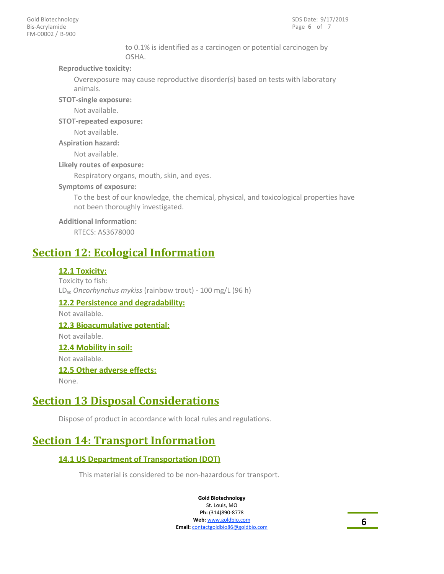to 0.1% is identified as a carcinogen or potential carcinogen by OSHA.

### **Reproductive toxicity:**

Overexposure may cause reproductive disorder(s) based on tests with laboratory animals.

**STOT-single exposure:**

Not available.

**STOT-repeated exposure:**

Not available.

**Aspiration hazard:**

Not available.

**Likely routes of exposure:**

Respiratory organs, mouth, skin, and eyes.

### **Symptoms of exposure:**

To the best of our knowledge, the chemical, physical, and toxicological properties have not been thoroughly investigated.

### **Additional Information:**

RTECS: AS3678000

## **Section 12: Ecological Information**

### **12.1 Toxicity:**

Toxicity to fish: LD<sub>50</sub> Oncorhynchus mykiss (rainbow trout) - 100 mg/L (96 h) **12.2 Persistence and degradability:** Not available. **12.3 Bioacumulative potential:** Not available. **12.4 Mobility in soil:** Not available. **12.5 Other adverse effects:** None.

# **Section 13 Disposal Considerations**

Dispose of product in accordance with local rules and regulations.

# **Section 14: Transport Information**

### **14.1 US Department of Transportation (DOT)**

This material is considered to be non-hazardous for transport.

**Gold Biotechnology**